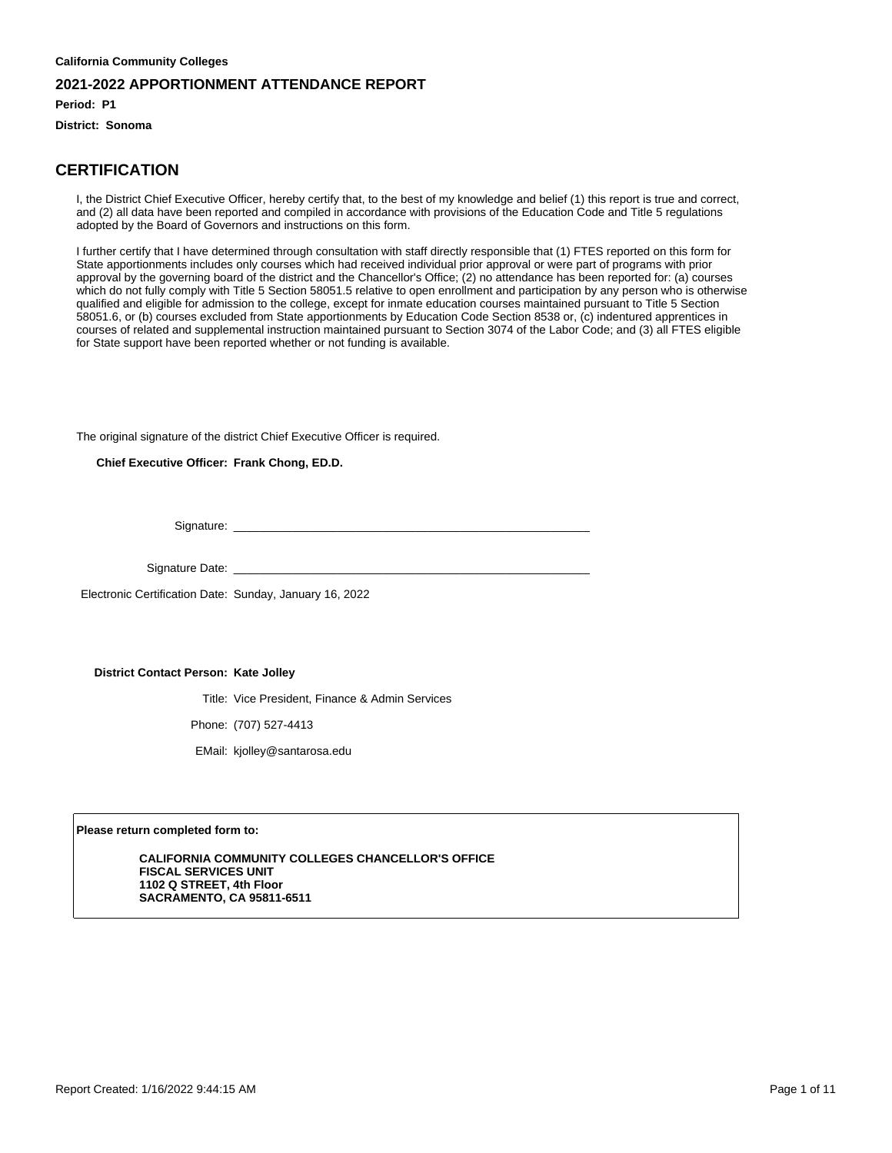**Period: P1**

**District: Sonoma**

#### **CERTIFICATION**

I, the District Chief Executive Officer, hereby certify that, to the best of my knowledge and belief (1) this report is true and correct, and (2) all data have been reported and compiled in accordance with provisions of the Education Code and Title 5 regulations adopted by the Board of Governors and instructions on this form.

I further certify that I have determined through consultation with staff directly responsible that (1) FTES reported on this form for State apportionments includes only courses which had received individual prior approval or were part of programs with prior approval by the governing board of the district and the Chancellor's Office; (2) no attendance has been reported for: (a) courses which do not fully comply with Title 5 Section 58051.5 relative to open enrollment and participation by any person who is otherwise qualified and eligible for admission to the college, except for inmate education courses maintained pursuant to Title 5 Section 58051.6, or (b) courses excluded from State apportionments by Education Code Section 8538 or, (c) indentured apprentices in courses of related and supplemental instruction maintained pursuant to Section 3074 of the Labor Code; and (3) all FTES eligible for State support have been reported whether or not funding is available.

The original signature of the district Chief Executive Officer is required.

**Chief Executive Officer: Frank Chong, ED.D.**

Signature:

Signature Date: \_

Electronic Certification Date: Sunday, January 16, 2022

#### **District Contact Person: Kate Jolley**

Title: Vice President, Finance & Admin Services

Phone: (707) 527-4413

EMail: kjolley@santarosa.edu

**Please return completed form to:**

**CALIFORNIA COMMUNITY COLLEGES CHANCELLOR'S OFFICE FISCAL SERVICES UNIT 1102 Q STREET, 4th Floor SACRAMENTO, CA 95811-6511**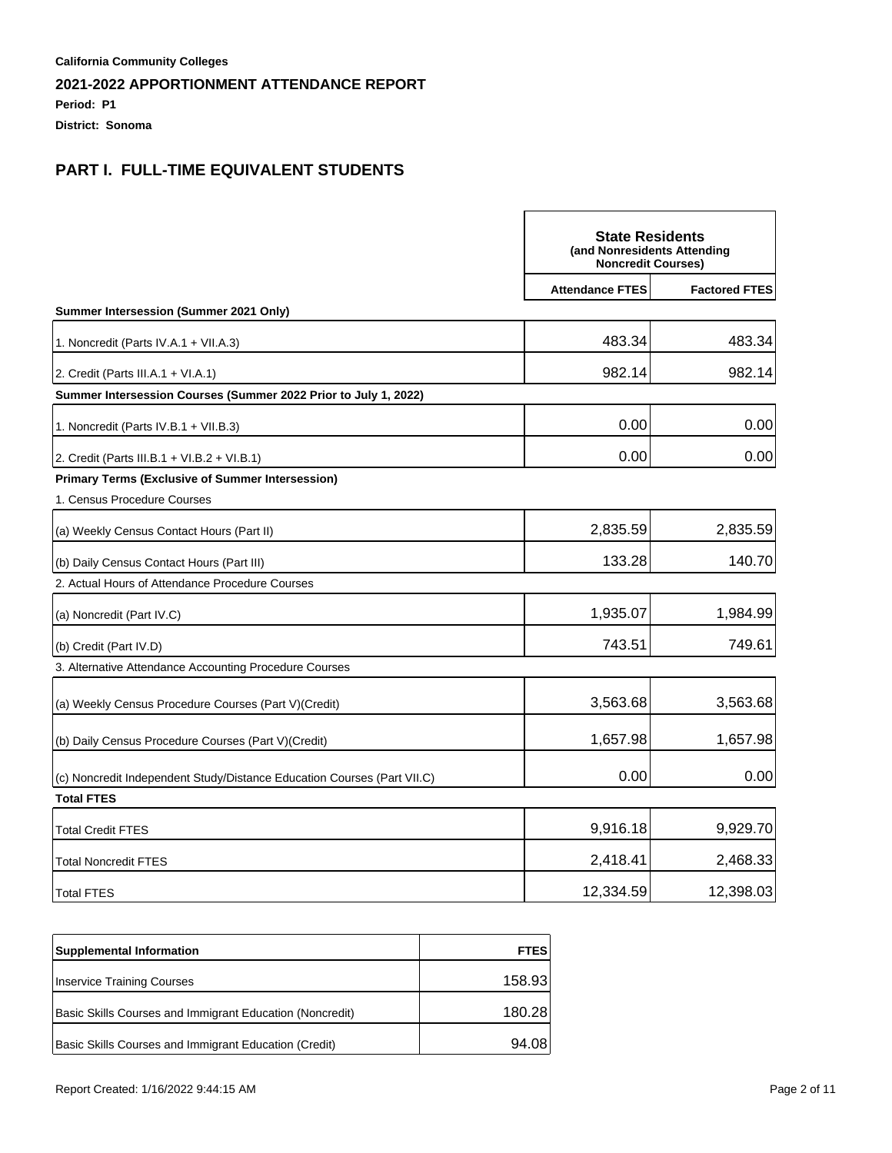**Period: P1**

**District: Sonoma**

|                                                                         | <b>State Residents</b><br>(and Nonresidents Attending<br><b>Noncredit Courses)</b> |                      |
|-------------------------------------------------------------------------|------------------------------------------------------------------------------------|----------------------|
|                                                                         | <b>Attendance FTES</b>                                                             | <b>Factored FTES</b> |
| Summer Intersession (Summer 2021 Only)                                  |                                                                                    |                      |
| 1. Noncredit (Parts IV.A.1 + VII.A.3)                                   | 483.34                                                                             | 483.34               |
| 2. Credit (Parts III.A.1 + VI.A.1)                                      | 982.14                                                                             | 982.14               |
| Summer Intersession Courses (Summer 2022 Prior to July 1, 2022)         |                                                                                    |                      |
| 1. Noncredit (Parts IV.B.1 + VII.B.3)                                   | 0.00                                                                               | 0.00                 |
| 2. Credit (Parts III.B.1 + VI.B.2 + VI.B.1)                             | 0.00                                                                               | 0.00                 |
| <b>Primary Terms (Exclusive of Summer Intersession)</b>                 |                                                                                    |                      |
| 1. Census Procedure Courses                                             |                                                                                    |                      |
| (a) Weekly Census Contact Hours (Part II)                               | 2,835.59                                                                           | 2,835.59             |
| (b) Daily Census Contact Hours (Part III)                               | 133.28                                                                             | 140.70               |
| 2. Actual Hours of Attendance Procedure Courses                         |                                                                                    |                      |
| (a) Noncredit (Part IV.C)                                               | 1,935.07                                                                           | 1,984.99             |
| (b) Credit (Part IV.D)                                                  | 743.51                                                                             | 749.61               |
| 3. Alternative Attendance Accounting Procedure Courses                  |                                                                                    |                      |
| (a) Weekly Census Procedure Courses (Part V)(Credit)                    | 3,563.68                                                                           | 3,563.68             |
| (b) Daily Census Procedure Courses (Part V) (Credit)                    | 1,657.98                                                                           | 1,657.98             |
| (c) Noncredit Independent Study/Distance Education Courses (Part VII.C) | 0.00                                                                               | 0.00                 |
| <b>Total FTES</b>                                                       |                                                                                    |                      |
| <b>Total Credit FTES</b>                                                | 9,916.18                                                                           | 9,929.70             |
| <b>Total Noncredit FTES</b>                                             | 2,418.41                                                                           | 2,468.33             |
| <b>Total FTES</b>                                                       | 12,334.59                                                                          | 12,398.03            |

| <b>Supplemental Information</b>                          | <b>FTES</b> |
|----------------------------------------------------------|-------------|
| <b>Inservice Training Courses</b>                        | 158.93      |
| Basic Skills Courses and Immigrant Education (Noncredit) | 180.28      |
| Basic Skills Courses and Immigrant Education (Credit)    | 94.08       |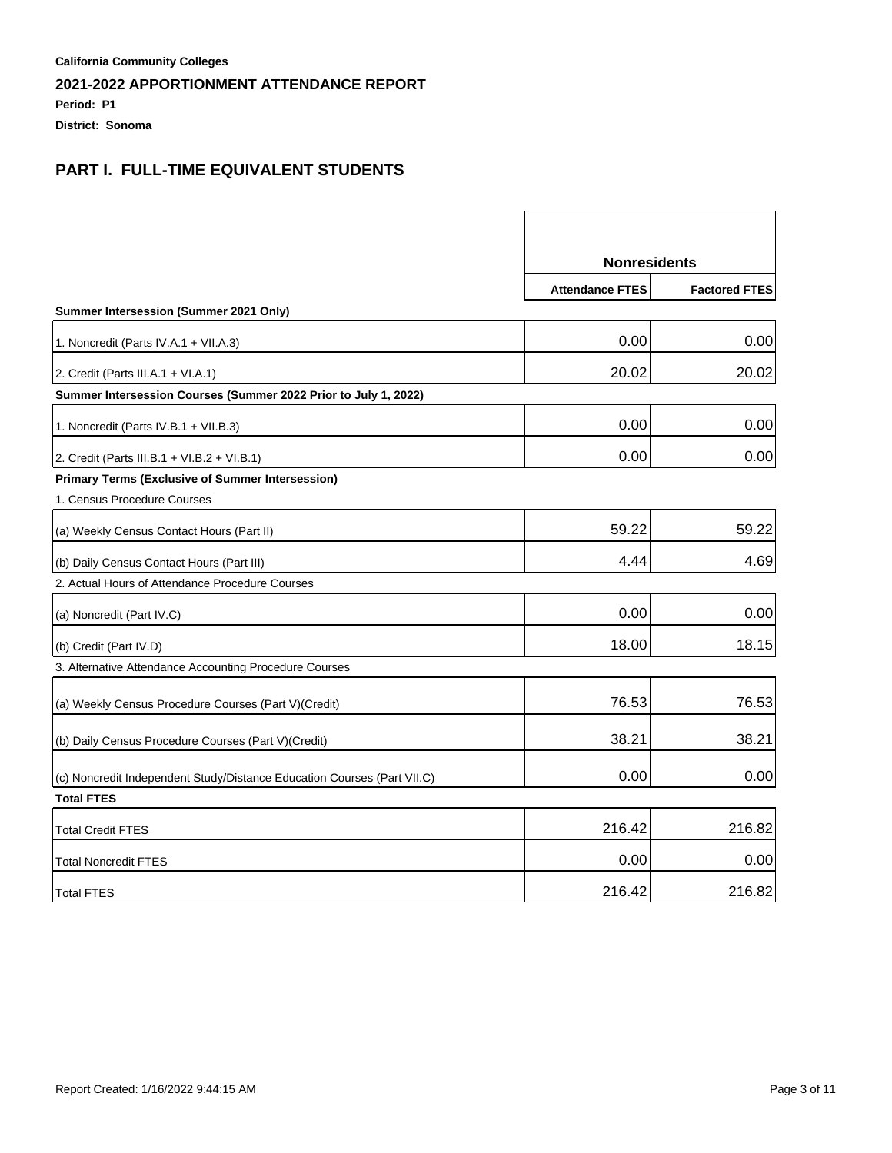**Period: P1**

**District: Sonoma**

|                                                                         | <b>Nonresidents</b>    |                      |
|-------------------------------------------------------------------------|------------------------|----------------------|
|                                                                         | <b>Attendance FTES</b> | <b>Factored FTES</b> |
| Summer Intersession (Summer 2021 Only)                                  |                        |                      |
| 1. Noncredit (Parts IV.A.1 + VII.A.3)                                   | 0.00                   | 0.00                 |
| 2. Credit (Parts III.A.1 + VI.A.1)                                      | 20.02                  | 20.02                |
| Summer Intersession Courses (Summer 2022 Prior to July 1, 2022)         |                        |                      |
| 1. Noncredit (Parts IV.B.1 + VII.B.3)                                   | 0.00                   | 0.00                 |
| 2. Credit (Parts III.B.1 + VI.B.2 + VI.B.1)                             | 0.00                   | 0.00                 |
| <b>Primary Terms (Exclusive of Summer Intersession)</b>                 |                        |                      |
| 1. Census Procedure Courses                                             |                        |                      |
| (a) Weekly Census Contact Hours (Part II)                               | 59.22                  | 59.22                |
| (b) Daily Census Contact Hours (Part III)                               | 4.44                   | 4.69                 |
| 2. Actual Hours of Attendance Procedure Courses                         |                        |                      |
| (a) Noncredit (Part IV.C)                                               | 0.00                   | 0.00                 |
| (b) Credit (Part IV.D)                                                  | 18.00                  | 18.15                |
| 3. Alternative Attendance Accounting Procedure Courses                  |                        |                      |
| (a) Weekly Census Procedure Courses (Part V)(Credit)                    | 76.53                  | 76.53                |
| (b) Daily Census Procedure Courses (Part V) (Credit)                    | 38.21                  | 38.21                |
| (c) Noncredit Independent Study/Distance Education Courses (Part VII.C) | 0.00                   | 0.00                 |
| <b>Total FTES</b>                                                       |                        |                      |
| <b>Total Credit FTES</b>                                                | 216.42                 | 216.82               |
| <b>Total Noncredit FTES</b>                                             | 0.00                   | 0.00                 |
| <b>Total FTES</b>                                                       | 216.42                 | 216.82               |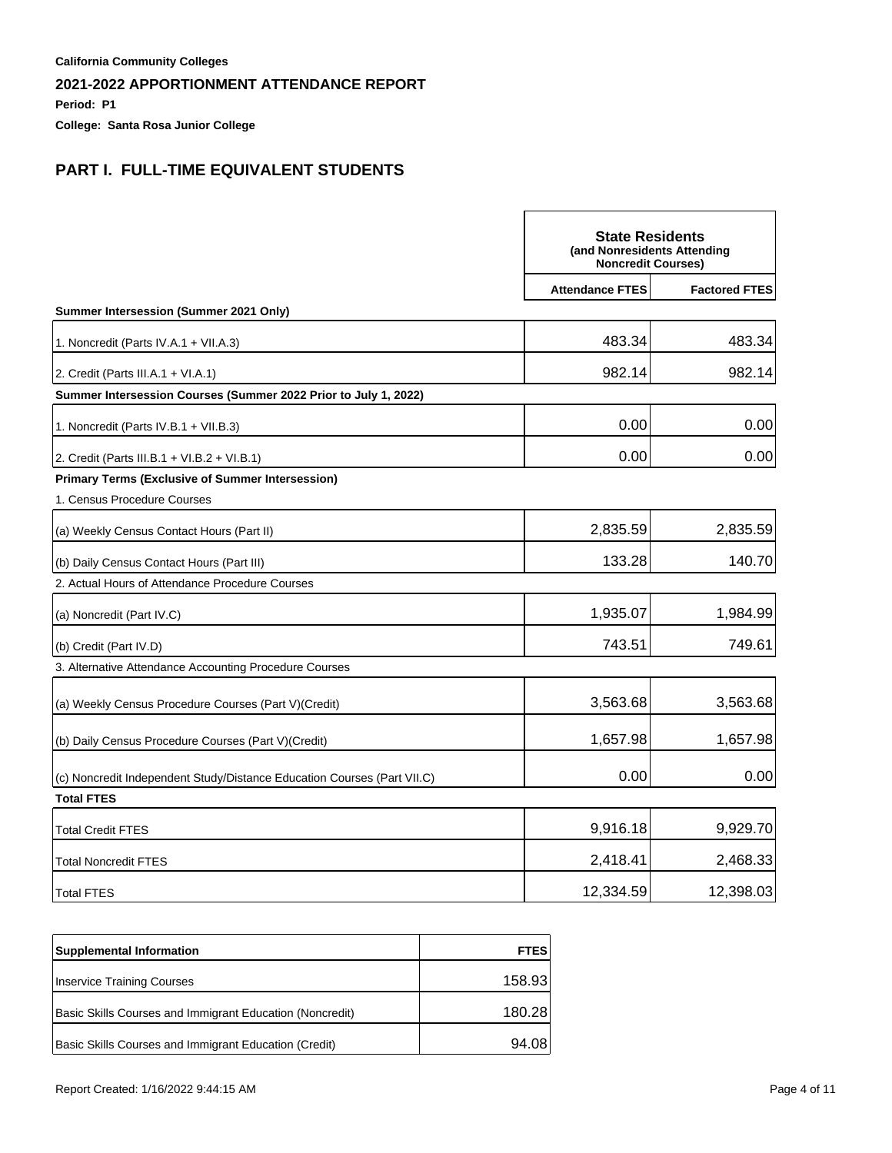**Period: P1**

**College: Santa Rosa Junior College**

|                                                                         | <b>State Residents</b><br>(and Nonresidents Attending<br><b>Noncredit Courses)</b> |                      |
|-------------------------------------------------------------------------|------------------------------------------------------------------------------------|----------------------|
|                                                                         | <b>Attendance FTES</b>                                                             | <b>Factored FTES</b> |
| Summer Intersession (Summer 2021 Only)                                  |                                                                                    |                      |
| 1. Noncredit (Parts IV.A.1 + VII.A.3)                                   | 483.34                                                                             | 483.34               |
| 2. Credit (Parts III.A.1 + VI.A.1)                                      | 982.14                                                                             | 982.14               |
| Summer Intersession Courses (Summer 2022 Prior to July 1, 2022)         |                                                                                    |                      |
| 1. Noncredit (Parts IV.B.1 + VII.B.3)                                   | 0.00                                                                               | 0.00                 |
| 2. Credit (Parts III.B.1 + VI.B.2 + VI.B.1)                             | 0.00                                                                               | 0.00                 |
| <b>Primary Terms (Exclusive of Summer Intersession)</b>                 |                                                                                    |                      |
| 1. Census Procedure Courses                                             |                                                                                    |                      |
| (a) Weekly Census Contact Hours (Part II)                               | 2,835.59                                                                           | 2,835.59             |
| (b) Daily Census Contact Hours (Part III)                               | 133.28                                                                             | 140.70               |
| 2. Actual Hours of Attendance Procedure Courses                         |                                                                                    |                      |
| (a) Noncredit (Part IV.C)                                               | 1,935.07                                                                           | 1,984.99             |
| (b) Credit (Part IV.D)                                                  | 743.51                                                                             | 749.61               |
| 3. Alternative Attendance Accounting Procedure Courses                  |                                                                                    |                      |
| (a) Weekly Census Procedure Courses (Part V) (Credit)                   | 3,563.68                                                                           | 3,563.68             |
| (b) Daily Census Procedure Courses (Part V) (Credit)                    | 1,657.98                                                                           | 1,657.98             |
| (c) Noncredit Independent Study/Distance Education Courses (Part VII.C) | 0.00                                                                               | 0.00                 |
| <b>Total FTES</b>                                                       |                                                                                    |                      |
| <b>Total Credit FTES</b>                                                | 9,916.18                                                                           | 9,929.70             |
| <b>Total Noncredit FTES</b>                                             | 2,418.41                                                                           | 2,468.33             |
| <b>Total FTES</b>                                                       | 12,334.59                                                                          | 12,398.03            |

| <b>Supplemental Information</b>                          | <b>FTES</b> |
|----------------------------------------------------------|-------------|
| Inservice Training Courses                               | 158.93      |
| Basic Skills Courses and Immigrant Education (Noncredit) | 180.28      |
| Basic Skills Courses and Immigrant Education (Credit)    | 94.08       |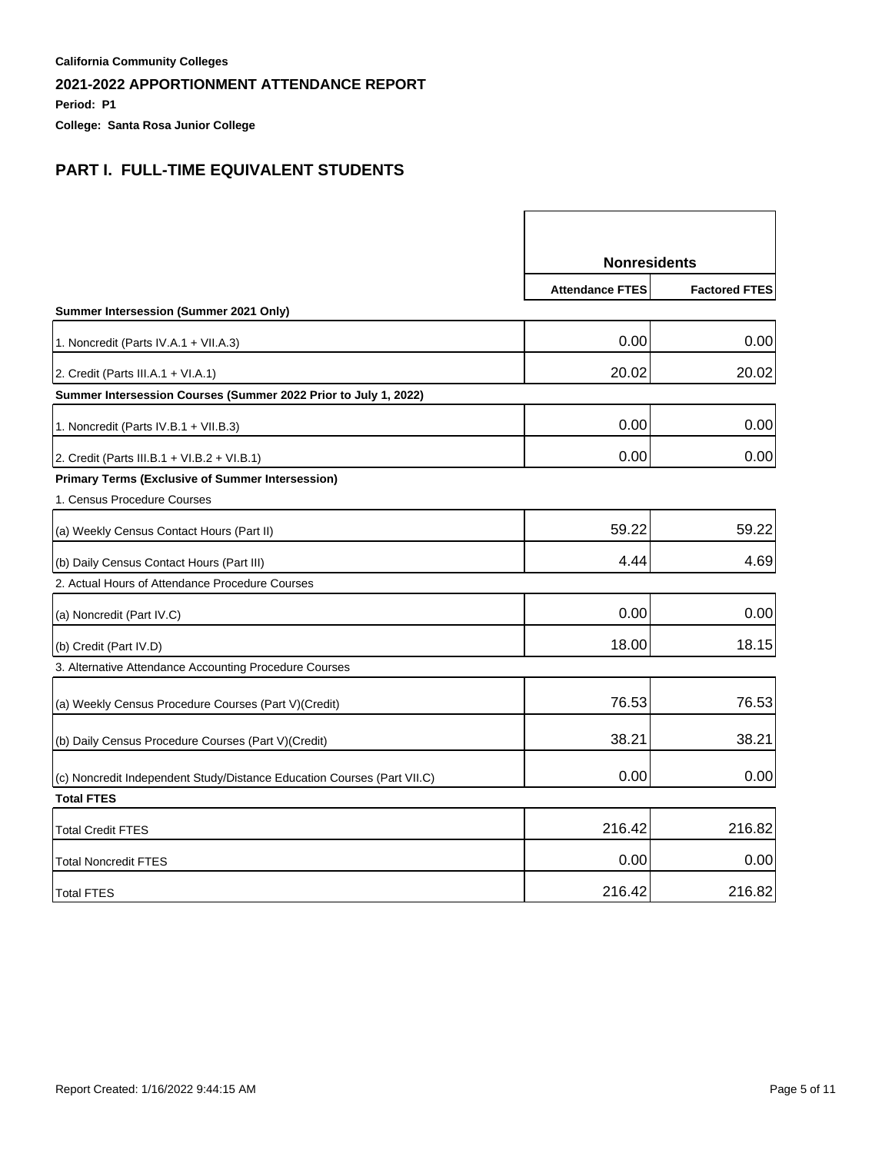**Period: P1**

**College: Santa Rosa Junior College**

|                                                                         | <b>Nonresidents</b>    |                      |
|-------------------------------------------------------------------------|------------------------|----------------------|
|                                                                         | <b>Attendance FTES</b> | <b>Factored FTES</b> |
| Summer Intersession (Summer 2021 Only)                                  |                        |                      |
| 1. Noncredit (Parts IV.A.1 + VII.A.3)                                   | 0.00                   | 0.00                 |
| 2. Credit (Parts III.A.1 + VI.A.1)                                      | 20.02                  | 20.02                |
| Summer Intersession Courses (Summer 2022 Prior to July 1, 2022)         |                        |                      |
| 1. Noncredit (Parts IV.B.1 + VII.B.3)                                   | 0.00                   | 0.00                 |
| 2. Credit (Parts III.B.1 + VI.B.2 + VI.B.1)                             | 0.00                   | 0.00                 |
| <b>Primary Terms (Exclusive of Summer Intersession)</b>                 |                        |                      |
| 1. Census Procedure Courses                                             |                        |                      |
| (a) Weekly Census Contact Hours (Part II)                               | 59.22                  | 59.22                |
| (b) Daily Census Contact Hours (Part III)                               | 4.44                   | 4.69                 |
| 2. Actual Hours of Attendance Procedure Courses                         |                        |                      |
| (a) Noncredit (Part IV.C)                                               | 0.00                   | 0.00                 |
| (b) Credit (Part IV.D)                                                  | 18.00                  | 18.15                |
| 3. Alternative Attendance Accounting Procedure Courses                  |                        |                      |
| (a) Weekly Census Procedure Courses (Part V)(Credit)                    | 76.53                  | 76.53                |
| (b) Daily Census Procedure Courses (Part V) (Credit)                    | 38.21                  | 38.21                |
| (c) Noncredit Independent Study/Distance Education Courses (Part VII.C) | 0.00                   | 0.00                 |
| <b>Total FTES</b>                                                       |                        |                      |
| <b>Total Credit FTES</b>                                                | 216.42                 | 216.82               |
| <b>Total Noncredit FTES</b>                                             | 0.00                   | 0.00                 |
| <b>Total FTES</b>                                                       | 216.42                 | 216.82               |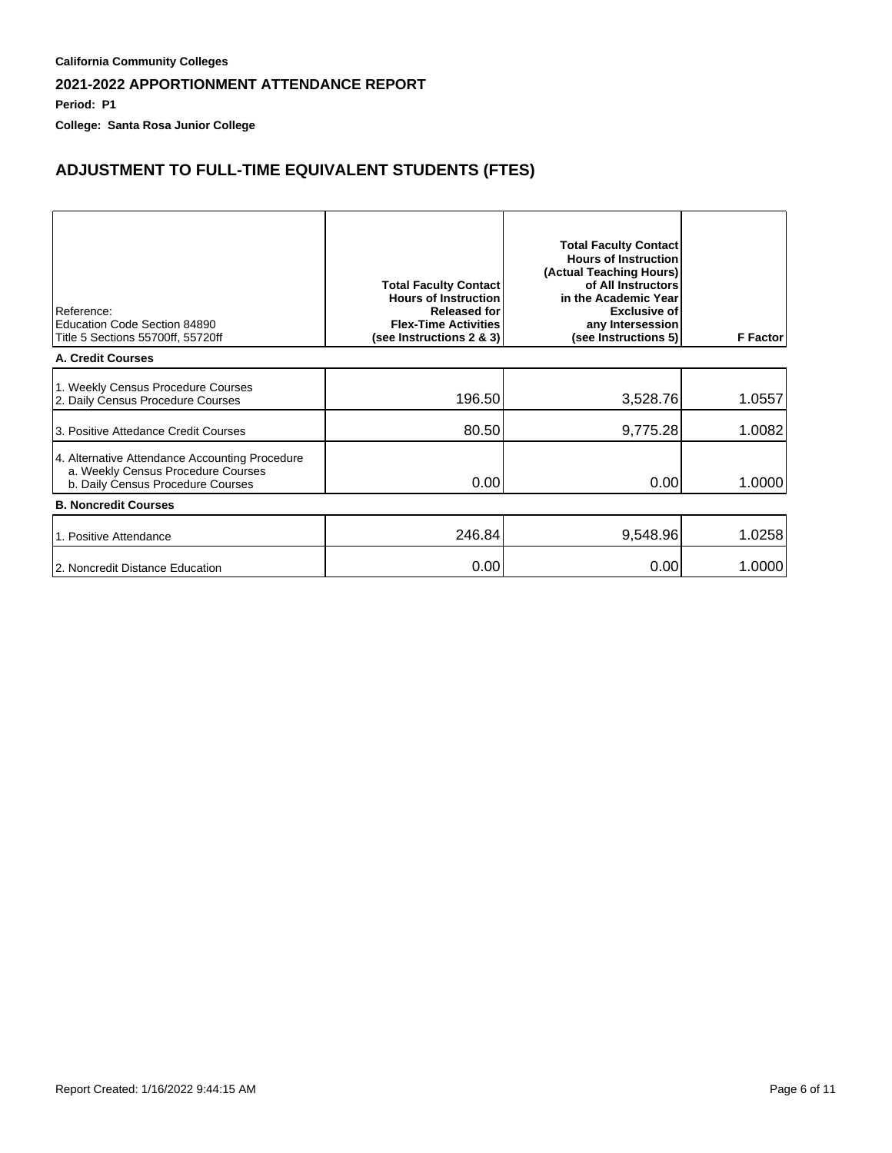**Period: P1**

**College: Santa Rosa Junior College**

# **ADJUSTMENT TO FULL-TIME EQUIVALENT STUDENTS (FTES)**

| Reference:<br>Education Code Section 84890<br>Title 5 Sections 55700ff, 55720ff                                           | <b>Total Faculty Contact</b><br><b>Hours of Instruction</b><br><b>Released for</b><br><b>Flex-Time Activities</b><br>(see Instructions 2 & 3) | <b>Total Faculty Contact</b><br><b>Hours of Instruction</b><br>(Actual Teaching Hours)<br>of All Instructors<br>in the Academic Year<br><b>Exclusive of</b><br>any Intersession<br>(see Instructions 5) | <b>F</b> Factor |
|---------------------------------------------------------------------------------------------------------------------------|-----------------------------------------------------------------------------------------------------------------------------------------------|---------------------------------------------------------------------------------------------------------------------------------------------------------------------------------------------------------|-----------------|
| <b>A. Credit Courses</b>                                                                                                  |                                                                                                                                               |                                                                                                                                                                                                         |                 |
| 1. Weekly Census Procedure Courses<br>2. Daily Census Procedure Courses                                                   | 196.50                                                                                                                                        | 3,528.76                                                                                                                                                                                                | 1.0557          |
| 13. Positive Attedance Credit Courses                                                                                     | 80.50                                                                                                                                         | 9,775.28                                                                                                                                                                                                | 1.0082          |
| 4. Alternative Attendance Accounting Procedure<br>a. Weekly Census Procedure Courses<br>b. Daily Census Procedure Courses | 0.00                                                                                                                                          | 0.00                                                                                                                                                                                                    | 1.0000          |
| <b>B. Noncredit Courses</b>                                                                                               |                                                                                                                                               |                                                                                                                                                                                                         |                 |
| 1. Positive Attendance                                                                                                    | 246.84                                                                                                                                        | 9,548.96                                                                                                                                                                                                | 1.0258          |
| 2. Noncredit Distance Education                                                                                           | 0.00                                                                                                                                          | 0.00                                                                                                                                                                                                    | 1.0000          |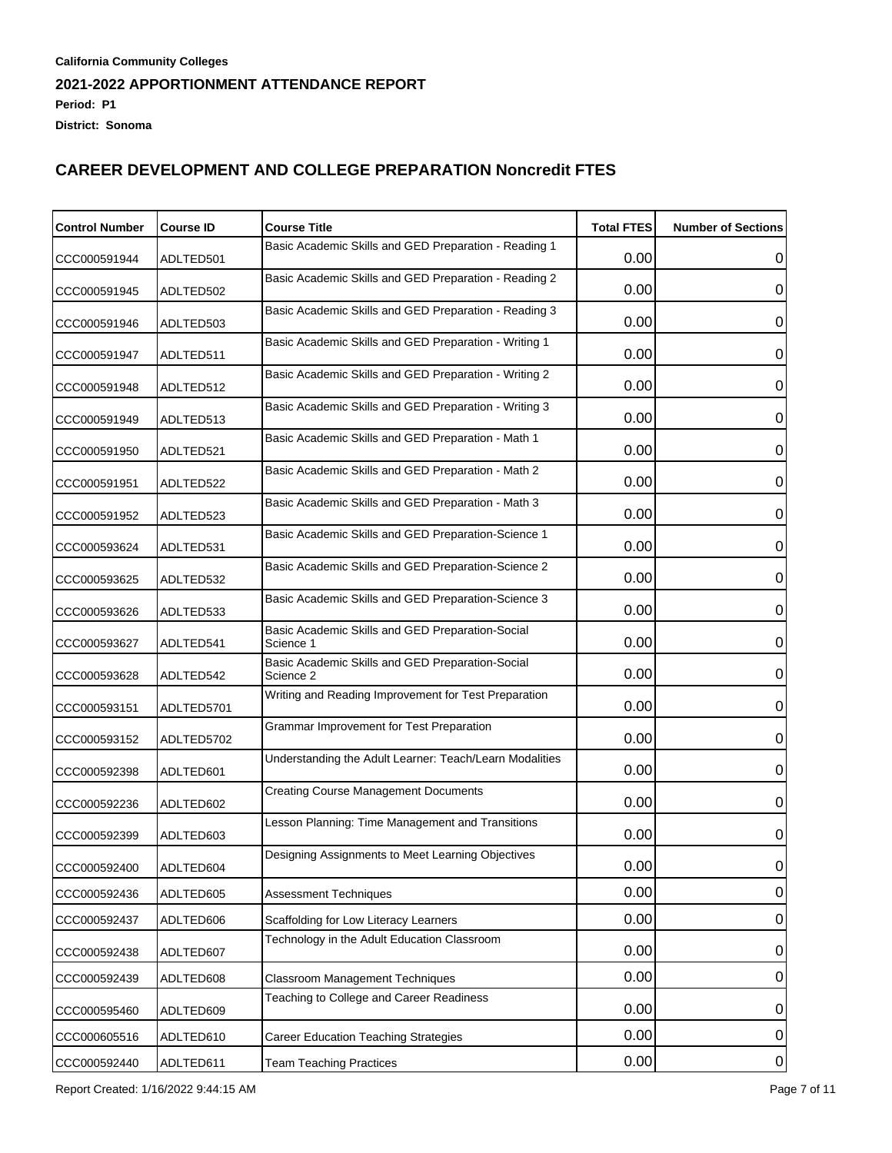| <b>Control Number</b> | <b>Course ID</b> | <b>Course Title</b>                                           | <b>Total FTES</b> | <b>Number of Sections</b> |
|-----------------------|------------------|---------------------------------------------------------------|-------------------|---------------------------|
| CCC000591944          | ADLTED501        | Basic Academic Skills and GED Preparation - Reading 1         | 0.00              | 0                         |
| CCC000591945          | ADLTED502        | Basic Academic Skills and GED Preparation - Reading 2         | 0.00              | 0                         |
| CCC000591946          | ADLTED503        | Basic Academic Skills and GED Preparation - Reading 3         | 0.00              | 0                         |
| CCC000591947          | ADLTED511        | Basic Academic Skills and GED Preparation - Writing 1         | 0.00              | 0                         |
| CCC000591948          | ADLTED512        | Basic Academic Skills and GED Preparation - Writing 2         | 0.00              | 0                         |
| CCC000591949          | ADLTED513        | Basic Academic Skills and GED Preparation - Writing 3         | 0.00              | 0                         |
|                       |                  | Basic Academic Skills and GED Preparation - Math 1            | 0.00              | 0                         |
| CCC000591950          | ADLTED521        | Basic Academic Skills and GED Preparation - Math 2            |                   |                           |
| CCC000591951          | ADLTED522        | Basic Academic Skills and GED Preparation - Math 3            | 0.00              | 0                         |
| CCC000591952          | ADLTED523        | Basic Academic Skills and GED Preparation-Science 1           | 0.00              | 0                         |
| CCC000593624          | ADLTED531        | Basic Academic Skills and GED Preparation-Science 2           | 0.00              | 0                         |
| CCC000593625          | ADLTED532        |                                                               | 0.00              | 0                         |
| CCC000593626          | ADLTED533        | Basic Academic Skills and GED Preparation-Science 3           | 0.00              | 0                         |
| CCC000593627          | ADLTED541        | Basic Academic Skills and GED Preparation-Social<br>Science 1 | 0.00              | 0                         |
| CCC000593628          | ADLTED542        | Basic Academic Skills and GED Preparation-Social<br>Science 2 | 0.00              | 0                         |
| CCC000593151          | ADLTED5701       | Writing and Reading Improvement for Test Preparation          | 0.00              | 0                         |
| CCC000593152          | ADLTED5702       | Grammar Improvement for Test Preparation                      | 0.00              | 0                         |
| CCC000592398          | ADLTED601        | Understanding the Adult Learner: Teach/Learn Modalities       | 0.00              | 0                         |
| CCC000592236          | ADLTED602        | <b>Creating Course Management Documents</b>                   | 0.00              | 0                         |
| CCC000592399          | ADLTED603        | Lesson Planning: Time Management and Transitions              | 0.00              | 0                         |
| CCC000592400          | ADLTED604        | Designing Assignments to Meet Learning Objectives             | 0.00              | U                         |
| CCC000592436          | ADLTED605        | <b>Assessment Techniques</b>                                  | 0.00              | 0                         |
| CCC000592437          | ADLTED606        | Scaffolding for Low Literacy Learners                         | 0.00              | $\mathbf 0$               |
| CCC000592438          | ADLTED607        | Technology in the Adult Education Classroom                   | 0.00              | 0                         |
| CCC000592439          | ADLTED608        | <b>Classroom Management Techniques</b>                        | 0.00              | 0                         |
| CCC000595460          | ADLTED609        | Teaching to College and Career Readiness                      | 0.00              | 0                         |
| CCC000605516          | ADLTED610        | <b>Career Education Teaching Strategies</b>                   | 0.00              | $\pmb{0}$                 |
| CCC000592440          | ADLTED611        | <b>Team Teaching Practices</b>                                | 0.00              | $\overline{0}$            |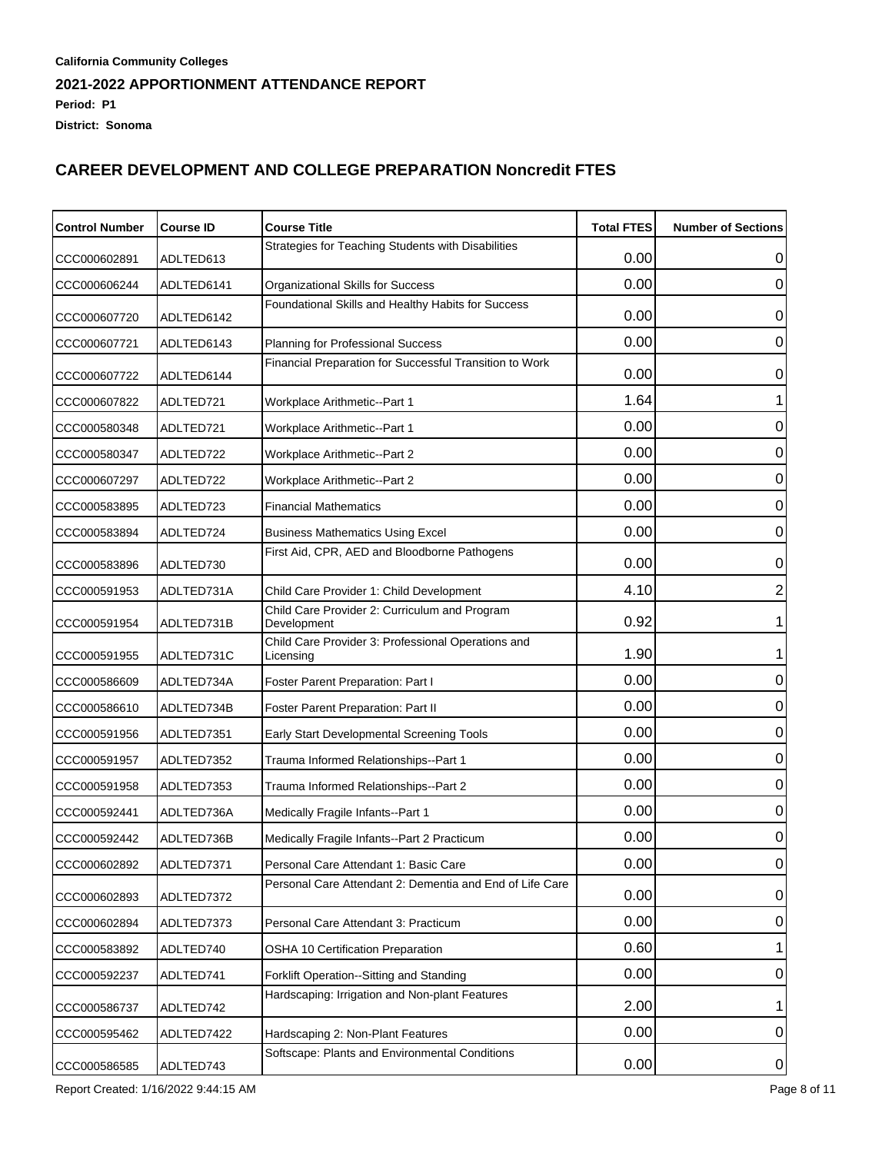| <b>Control Number</b> | <b>Course ID</b> | <b>Course Title</b>                                             | <b>Total FTES</b> | <b>Number of Sections</b> |
|-----------------------|------------------|-----------------------------------------------------------------|-------------------|---------------------------|
| CCC000602891          | ADLTED613        | Strategies for Teaching Students with Disabilities              | 0.00              | 0                         |
| CCC000606244          | ADLTED6141       | Organizational Skills for Success                               | 0.00              | 0                         |
| CCC000607720          | ADLTED6142       | Foundational Skills and Healthy Habits for Success              | 0.00              | 0                         |
| CCC000607721          | ADLTED6143       | <b>Planning for Professional Success</b>                        | 0.00              | 0                         |
| CCC000607722          | ADLTED6144       | Financial Preparation for Successful Transition to Work         | 0.00              | 0                         |
| CCC000607822          | ADLTED721        | Workplace Arithmetic--Part 1                                    | 1.64              |                           |
| CCC000580348          | ADLTED721        | Workplace Arithmetic--Part 1                                    | 0.00              | 0                         |
| CCC000580347          | ADLTED722        | <b>Workplace Arithmetic--Part 2</b>                             | 0.00              | 0                         |
| CCC000607297          | ADLTED722        | <b>Workplace Arithmetic--Part 2</b>                             | 0.00              | 0                         |
| CCC000583895          | ADLTED723        | <b>Financial Mathematics</b>                                    | 0.00              | 0                         |
| CCC000583894          | ADLTED724        | <b>Business Mathematics Using Excel</b>                         | 0.00              | 0                         |
| CCC000583896          | ADLTED730        | First Aid, CPR, AED and Bloodborne Pathogens                    | 0.00              | 0                         |
| CCC000591953          | ADLTED731A       | Child Care Provider 1: Child Development                        | 4.10              | $\overline{2}$            |
| CCC000591954          | ADLTED731B       | Child Care Provider 2: Curriculum and Program<br>Development    | 0.92              |                           |
| CCC000591955          | ADLTED731C       | Child Care Provider 3: Professional Operations and<br>Licensing | 1.90              |                           |
| CCC000586609          | ADLTED734A       | Foster Parent Preparation: Part I                               | 0.00              | 0                         |
| CCC000586610          | ADLTED734B       | Foster Parent Preparation: Part II                              | 0.00              | 0                         |
| CCC000591956          | ADLTED7351       | Early Start Developmental Screening Tools                       | 0.00              | 0                         |
| CCC000591957          | ADLTED7352       | Trauma Informed Relationships--Part 1                           | 0.00              | 0                         |
| CCC000591958          | ADLTED7353       | Trauma Informed Relationships--Part 2                           | 0.00              | 0                         |
| CCC000592441          | ADLTED736A       | Medically Fragile Infants--Part 1                               | 0.00              | 0                         |
| CCC000592442          | ADLTED736B       | Medically Fragile Infants--Part 2 Practicum                     | 0.00              | 0                         |
| CCC000602892          | ADLTED7371       | Personal Care Attendant 1: Basic Care                           | 0.00              | $\Omega$                  |
| CCC000602893          | ADLTED7372       | Personal Care Attendant 2: Dementia and End of Life Care        | 0.00              | 0                         |
| CCC000602894          | ADLTED7373       | Personal Care Attendant 3: Practicum                            | 0.00              | 0                         |
| CCC000583892          | ADLTED740        | OSHA 10 Certification Preparation                               | 0.60              |                           |
| CCC000592237          | ADLTED741        | Forklift Operation--Sitting and Standing                        | 0.00              | 0                         |
| CCC000586737          | ADLTED742        | Hardscaping: Irrigation and Non-plant Features                  | 2.00              | 1                         |
| CCC000595462          | ADLTED7422       | Hardscaping 2: Non-Plant Features                               | 0.00              | $\mathbf 0$               |
| CCC000586585          | ADLTED743        | Softscape: Plants and Environmental Conditions                  | 0.00              | $\overline{0}$            |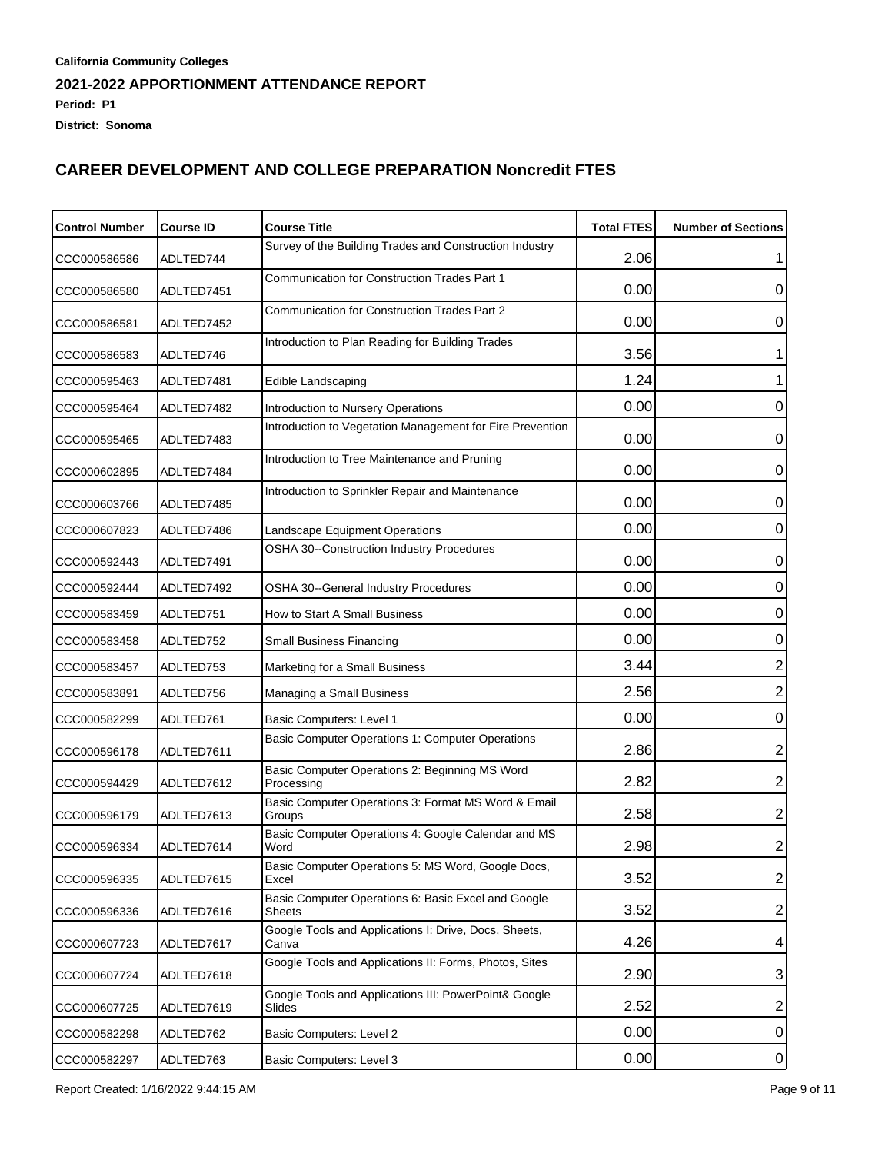| <b>Control Number</b> | <b>Course ID</b> | <b>Course Title</b>                                             | <b>Total FTES</b> | <b>Number of Sections</b> |
|-----------------------|------------------|-----------------------------------------------------------------|-------------------|---------------------------|
| CCC000586586          | ADLTED744        | Survey of the Building Trades and Construction Industry         | 2.06              |                           |
| CCC000586580          | ADLTED7451       | Communication for Construction Trades Part 1                    | 0.00              | 0                         |
| CCC000586581          | ADLTED7452       | Communication for Construction Trades Part 2                    | 0.00              | 0                         |
| CCC000586583          | ADLTED746        | Introduction to Plan Reading for Building Trades                | 3.56              |                           |
| CCC000595463          | ADLTED7481       | Edible Landscaping                                              | 1.24              |                           |
| CCC000595464          | ADLTED7482       | Introduction to Nursery Operations                              | 0.00              | 0                         |
| CCC000595465          | ADLTED7483       | Introduction to Vegetation Management for Fire Prevention       | 0.00              | 0                         |
| CCC000602895          | ADLTED7484       | Introduction to Tree Maintenance and Pruning                    | 0.00              | 0                         |
| CCC000603766          | ADLTED7485       | Introduction to Sprinkler Repair and Maintenance                | 0.00              | 0                         |
| CCC000607823          | ADLTED7486       | Landscape Equipment Operations                                  | 0.00              | 0                         |
| CCC000592443          | ADLTED7491       | OSHA 30--Construction Industry Procedures                       | 0.00              | $\mathbf 0$               |
| CCC000592444          | ADLTED7492       | OSHA 30--General Industry Procedures                            | 0.00              | 0                         |
| CCC000583459          | ADLTED751        | How to Start A Small Business                                   | 0.00              | $\mathbf 0$               |
| CCC000583458          | ADLTED752        | Small Business Financing                                        | 0.00              | $\mathbf 0$               |
| CCC000583457          | ADLTED753        | Marketing for a Small Business                                  | 3.44              | $\overline{2}$            |
| CCC000583891          | ADLTED756        | Managing a Small Business                                       | 2.56              | $\overline{2}$            |
| CCC000582299          | ADLTED761        | Basic Computers: Level 1                                        | 0.00              | 0                         |
| CCC000596178          | ADLTED7611       | Basic Computer Operations 1: Computer Operations                | 2.86              | $\overline{c}$            |
| CCC000594429          | ADLTED7612       | Basic Computer Operations 2: Beginning MS Word<br>Processing    | 2.82              | $\overline{c}$            |
| CCC000596179          | ADLTED7613       | Basic Computer Operations 3: Format MS Word & Email<br>Groups   | 2.58              | 2                         |
| CCC000596334          | ADLTED7614       | Basic Computer Operations 4: Google Calendar and MS<br>Word     | 2.98              | $\overline{2}$            |
| CCC000596335          | ADLTED7615       | Basic Computer Operations 5: MS Word, Google Docs,<br>Excel     | 3.52              | $\overline{\mathbf{c}}$   |
| CCC000596336          | ADLTED7616       | Basic Computer Operations 6: Basic Excel and Google<br>Sheets   | 3.52              | $\overline{\mathbf{c}}$   |
| CCC000607723          | ADLTED7617       | Google Tools and Applications I: Drive, Docs, Sheets,<br>Canva  | 4.26              | 4                         |
| CCC000607724          | ADLTED7618       | Google Tools and Applications II: Forms, Photos, Sites          | 2.90              | 3                         |
| CCC000607725          | ADLTED7619       | Google Tools and Applications III: PowerPoint& Google<br>Slides | 2.52              | $\overline{\mathbf{c}}$   |
| CCC000582298          | ADLTED762        | Basic Computers: Level 2                                        | 0.00              | $\pmb{0}$                 |
| CCC000582297          | ADLTED763        | Basic Computers: Level 3                                        | 0.00              | $\overline{0}$            |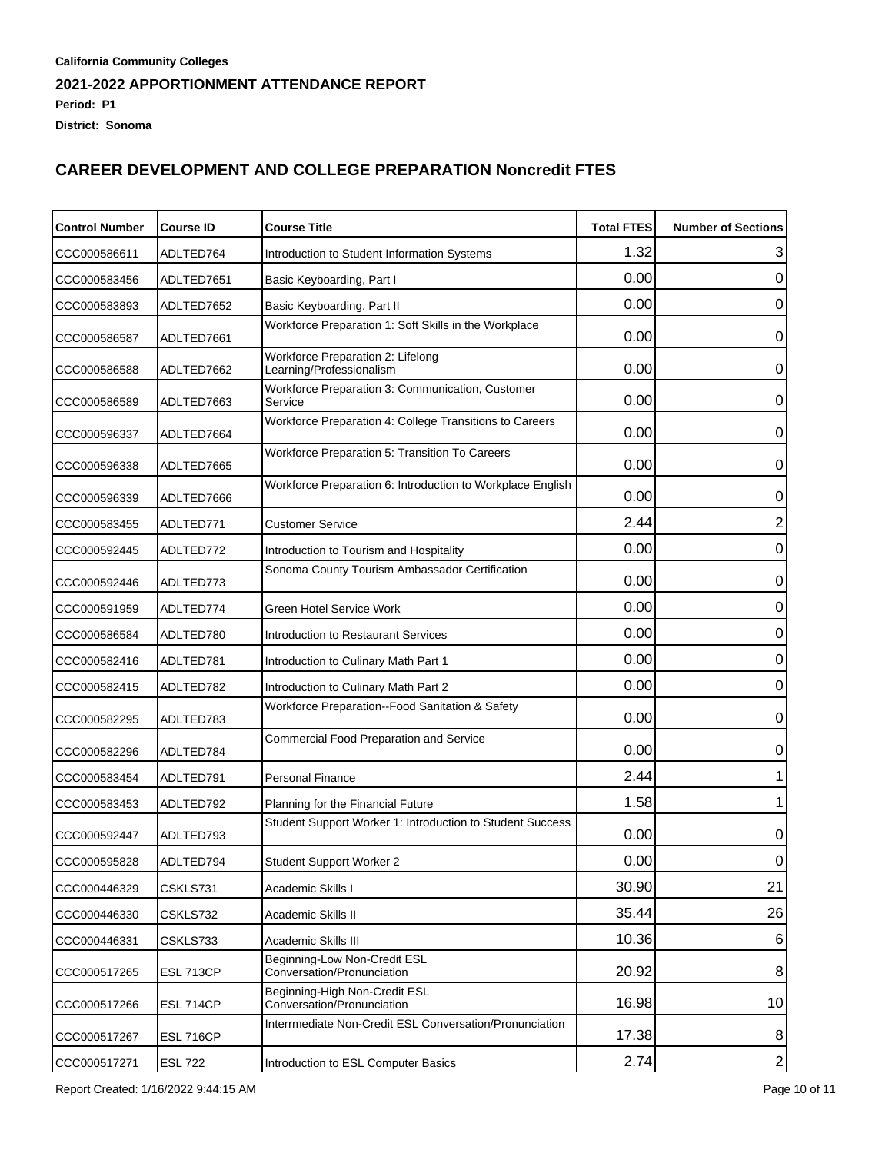| <b>Control Number</b> | <b>Course ID</b> | <b>Course Title</b>                                           | <b>Total FTES</b> | <b>Number of Sections</b> |
|-----------------------|------------------|---------------------------------------------------------------|-------------------|---------------------------|
| CCC000586611          | ADLTED764        | Introduction to Student Information Systems                   | 1.32              | 3                         |
| CCC000583456          | ADLTED7651       | Basic Keyboarding, Part I                                     | 0.00              | 0                         |
| CCC000583893          | ADLTED7652       | Basic Keyboarding, Part II                                    | 0.00              | 0                         |
| CCC000586587          | ADLTED7661       | Workforce Preparation 1: Soft Skills in the Workplace         | 0.00              | 0                         |
| CCC000586588          | ADLTED7662       | Workforce Preparation 2: Lifelong<br>Learning/Professionalism | 0.00              | 0                         |
| CCC000586589          | ADLTED7663       | Workforce Preparation 3: Communication, Customer<br>Service   | 0.00              | 0                         |
| CCC000596337          | ADLTED7664       | Workforce Preparation 4: College Transitions to Careers       | 0.00              | 0                         |
| CCC000596338          | ADLTED7665       | Workforce Preparation 5: Transition To Careers                | 0.00              | 0                         |
| CCC000596339          | ADLTED7666       | Workforce Preparation 6: Introduction to Workplace English    | 0.00              | 0                         |
| CCC000583455          | ADLTED771        | <b>Customer Service</b>                                       | 2.44              | 2                         |
| CCC000592445          | ADLTED772        | Introduction to Tourism and Hospitality                       | 0.00              | 0                         |
| CCC000592446          | ADLTED773        | Sonoma County Tourism Ambassador Certification                | 0.00              | 0                         |
| CCC000591959          | ADLTED774        | Green Hotel Service Work                                      | 0.00              | 0                         |
| CCC000586584          | ADLTED780        | Introduction to Restaurant Services                           | 0.00              | 0                         |
| CCC000582416          | ADLTED781        | Introduction to Culinary Math Part 1                          | 0.00              | 0                         |
| CCC000582415          | ADLTED782        | Introduction to Culinary Math Part 2                          | 0.00              | 0                         |
| CCC000582295          | ADLTED783        | Workforce Preparation--Food Sanitation & Safety               | 0.00              | 0                         |
| CCC000582296          | ADLTED784        | Commercial Food Preparation and Service                       | 0.00              | 0                         |
| CCC000583454          | ADLTED791        | <b>Personal Finance</b>                                       | 2.44              |                           |
| CCC000583453          | ADLTED792        | Planning for the Financial Future                             | 1.58              |                           |
| CCC000592447          | ADLTED793        | Student Support Worker 1: Introduction to Student Success     | 0.00              | 0                         |
| CCC000595828          | ADLTED794        | Student Support Worker 2                                      | 0.00              | 0                         |
| CCC000446329          | CSKLS731         | Academic Skills I                                             | 30.90             | 21                        |
| CCC000446330          | CSKLS732         | Academic Skills II                                            | 35.44             | 26                        |
| CCC000446331          | CSKLS733         | Academic Skills III                                           | 10.36             | 6                         |
| CCC000517265          | ESL 713CP        | Beginning-Low Non-Credit ESL<br>Conversation/Pronunciation    | 20.92             | 8                         |
| CCC000517266          | ESL 714CP        | Beginning-High Non-Credit ESL<br>Conversation/Pronunciation   | 16.98             | 10                        |
| CCC000517267          | ESL 716CP        | Interrmediate Non-Credit ESL Conversation/Pronunciation       | 17.38             | 8                         |
| CCC000517271          | <b>ESL 722</b>   | Introduction to ESL Computer Basics                           | 2.74              | $\mathbf{2}$              |